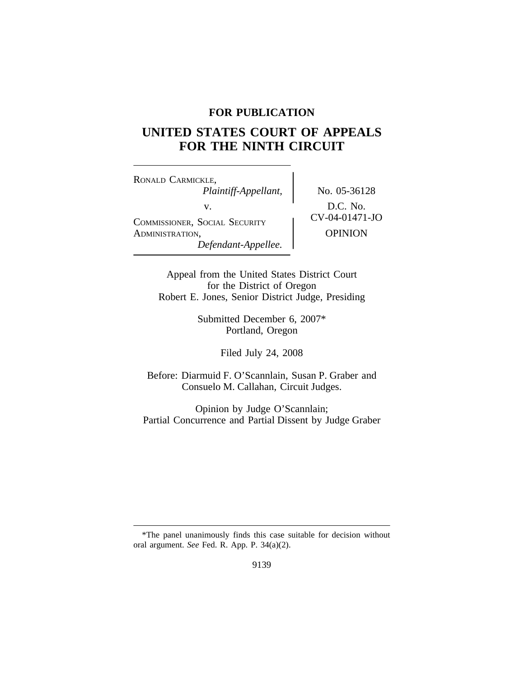## **FOR PUBLICATION**

# **UNITED STATES COURT OF APPEALS FOR THE NINTH CIRCUIT**

<sup>R</sup>ONALD CARMICKLE, *Plaintiff-Appellant,* No. 05-36128 v.<br>
COMMISSIONER, SOCIAL SECURITY<br>
CV-04-01471-JO ADMINISTRATION, OPINION *Defendant-Appellee.*

Appeal from the United States District Court for the District of Oregon Robert E. Jones, Senior District Judge, Presiding

> Submitted December 6, 2007\* Portland, Oregon

> > Filed July 24, 2008

Before: Diarmuid F. O'Scannlain, Susan P. Graber and Consuelo M. Callahan, Circuit Judges.

Opinion by Judge O'Scannlain; Partial Concurrence and Partial Dissent by Judge Graber

<sup>\*</sup>The panel unanimously finds this case suitable for decision without oral argument. *See* Fed. R. App. P. 34(a)(2).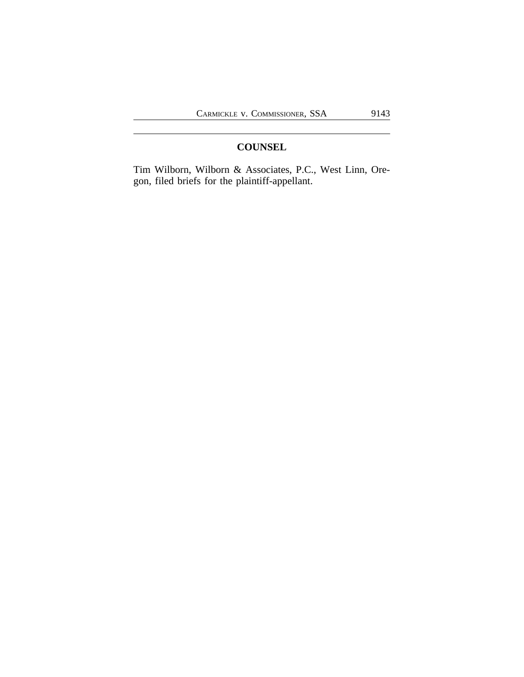## **COUNSEL**

Tim Wilborn, Wilborn & Associates, P.C., West Linn, Oregon, filed briefs for the plaintiff-appellant.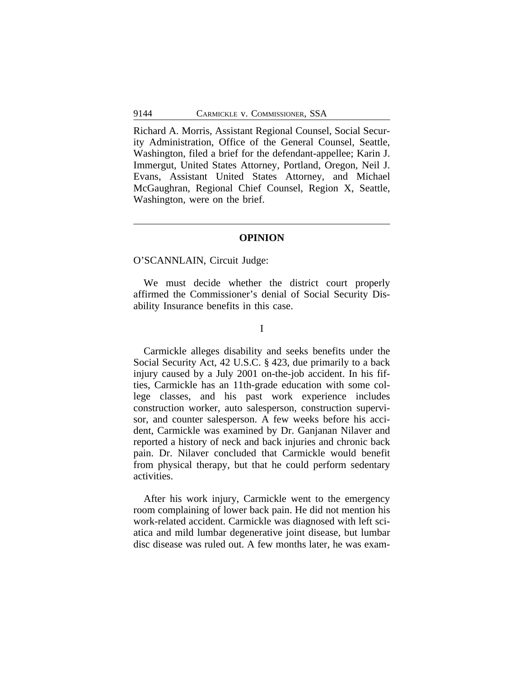Richard A. Morris, Assistant Regional Counsel, Social Security Administration, Office of the General Counsel, Seattle, Washington, filed a brief for the defendant-appellee; Karin J. Immergut, United States Attorney, Portland, Oregon, Neil J. Evans, Assistant United States Attorney, and Michael McGaughran, Regional Chief Counsel, Region X, Seattle, Washington, were on the brief.

## **OPINION**

## O'SCANNLAIN, Circuit Judge:

We must decide whether the district court properly affirmed the Commissioner's denial of Social Security Disability Insurance benefits in this case.

#### I

Carmickle alleges disability and seeks benefits under the Social Security Act, 42 U.S.C. § 423, due primarily to a back injury caused by a July 2001 on-the-job accident. In his fifties, Carmickle has an 11th-grade education with some college classes, and his past work experience includes construction worker, auto salesperson, construction supervisor, and counter salesperson. A few weeks before his accident, Carmickle was examined by Dr. Ganjanan Nilaver and reported a history of neck and back injuries and chronic back pain. Dr. Nilaver concluded that Carmickle would benefit from physical therapy, but that he could perform sedentary activities.

After his work injury, Carmickle went to the emergency room complaining of lower back pain. He did not mention his work-related accident. Carmickle was diagnosed with left sciatica and mild lumbar degenerative joint disease, but lumbar disc disease was ruled out. A few months later, he was exam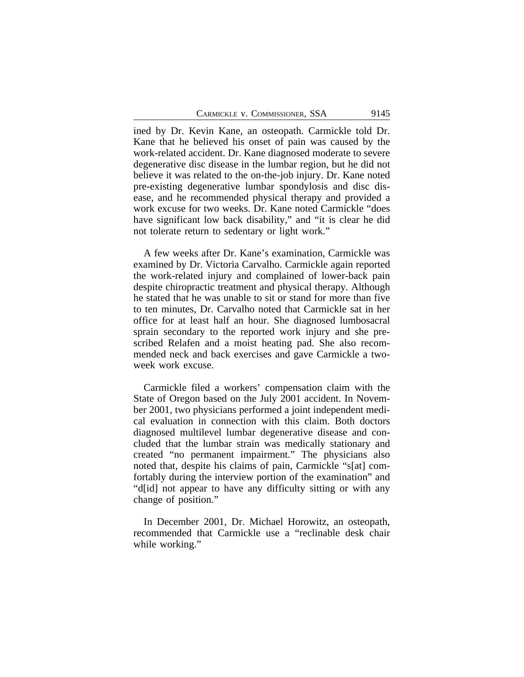ined by Dr. Kevin Kane, an osteopath. Carmickle told Dr. Kane that he believed his onset of pain was caused by the work-related accident. Dr. Kane diagnosed moderate to severe degenerative disc disease in the lumbar region, but he did not believe it was related to the on-the-job injury. Dr. Kane noted pre-existing degenerative lumbar spondylosis and disc disease, and he recommended physical therapy and provided a work excuse for two weeks. Dr. Kane noted Carmickle "does have significant low back disability," and "it is clear he did not tolerate return to sedentary or light work."

A few weeks after Dr. Kane's examination, Carmickle was examined by Dr. Victoria Carvalho. Carmickle again reported the work-related injury and complained of lower-back pain despite chiropractic treatment and physical therapy. Although he stated that he was unable to sit or stand for more than five to ten minutes, Dr. Carvalho noted that Carmickle sat in her office for at least half an hour. She diagnosed lumbosacral sprain secondary to the reported work injury and she prescribed Relafen and a moist heating pad. She also recommended neck and back exercises and gave Carmickle a twoweek work excuse.

Carmickle filed a workers' compensation claim with the State of Oregon based on the July 2001 accident. In November 2001, two physicians performed a joint independent medical evaluation in connection with this claim. Both doctors diagnosed multilevel lumbar degenerative disease and concluded that the lumbar strain was medically stationary and created "no permanent impairment." The physicians also noted that, despite his claims of pain, Carmickle "s[at] comfortably during the interview portion of the examination" and "d[id] not appear to have any difficulty sitting or with any change of position."

In December 2001, Dr. Michael Horowitz, an osteopath, recommended that Carmickle use a "reclinable desk chair while working."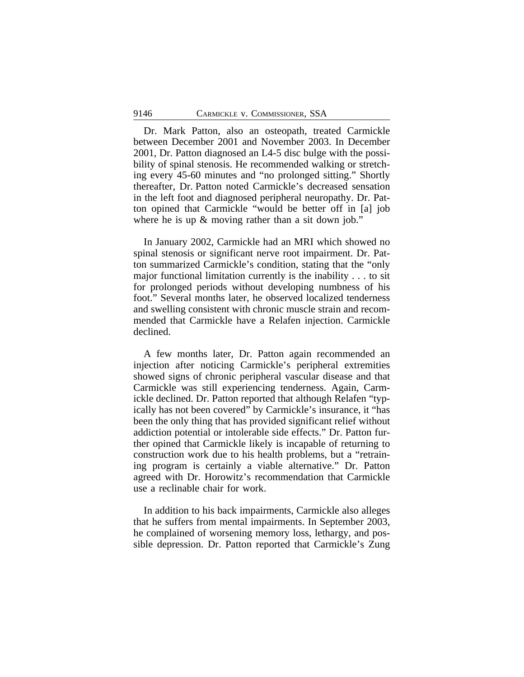Dr. Mark Patton, also an osteopath, treated Carmickle between December 2001 and November 2003. In December 2001, Dr. Patton diagnosed an L4-5 disc bulge with the possibility of spinal stenosis. He recommended walking or stretching every 45-60 minutes and "no prolonged sitting." Shortly thereafter, Dr. Patton noted Carmickle's decreased sensation in the left foot and diagnosed peripheral neuropathy. Dr. Patton opined that Carmickle "would be better off in [a] job where he is up & moving rather than a sit down job."

In January 2002, Carmickle had an MRI which showed no spinal stenosis or significant nerve root impairment. Dr. Patton summarized Carmickle's condition, stating that the "only major functional limitation currently is the inability . . . to sit for prolonged periods without developing numbness of his foot." Several months later, he observed localized tenderness and swelling consistent with chronic muscle strain and recommended that Carmickle have a Relafen injection. Carmickle declined.

A few months later, Dr. Patton again recommended an injection after noticing Carmickle's peripheral extremities showed signs of chronic peripheral vascular disease and that Carmickle was still experiencing tenderness. Again, Carmickle declined. Dr. Patton reported that although Relafen "typically has not been covered" by Carmickle's insurance, it "has been the only thing that has provided significant relief without addiction potential or intolerable side effects." Dr. Patton further opined that Carmickle likely is incapable of returning to construction work due to his health problems, but a "retraining program is certainly a viable alternative." Dr. Patton agreed with Dr. Horowitz's recommendation that Carmickle use a reclinable chair for work.

In addition to his back impairments, Carmickle also alleges that he suffers from mental impairments. In September 2003, he complained of worsening memory loss, lethargy, and possible depression. Dr. Patton reported that Carmickle's Zung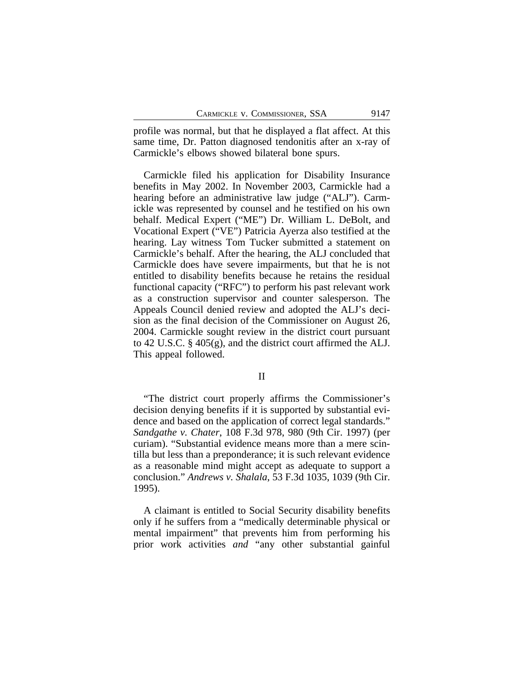profile was normal, but that he displayed a flat affect. At this same time, Dr. Patton diagnosed tendonitis after an x-ray of Carmickle's elbows showed bilateral bone spurs.

Carmickle filed his application for Disability Insurance benefits in May 2002. In November 2003, Carmickle had a hearing before an administrative law judge ("ALJ"). Carmickle was represented by counsel and he testified on his own behalf. Medical Expert ("ME") Dr. William L. DeBolt, and Vocational Expert ("VE") Patricia Ayerza also testified at the hearing. Lay witness Tom Tucker submitted a statement on Carmickle's behalf. After the hearing, the ALJ concluded that Carmickle does have severe impairments, but that he is not entitled to disability benefits because he retains the residual functional capacity ("RFC") to perform his past relevant work as a construction supervisor and counter salesperson. The Appeals Council denied review and adopted the ALJ's decision as the final decision of the Commissioner on August 26, 2004. Carmickle sought review in the district court pursuant to 42 U.S.C. § 405(g), and the district court affirmed the ALJ. This appeal followed.

#### II

"The district court properly affirms the Commissioner's decision denying benefits if it is supported by substantial evidence and based on the application of correct legal standards." *Sandgathe v. Chater*, 108 F.3d 978, 980 (9th Cir. 1997) (per curiam). "Substantial evidence means more than a mere scintilla but less than a preponderance; it is such relevant evidence as a reasonable mind might accept as adequate to support a conclusion." *Andrews v. Shalala*, 53 F.3d 1035, 1039 (9th Cir. 1995).

A claimant is entitled to Social Security disability benefits only if he suffers from a "medically determinable physical or mental impairment" that prevents him from performing his prior work activities *and* "any other substantial gainful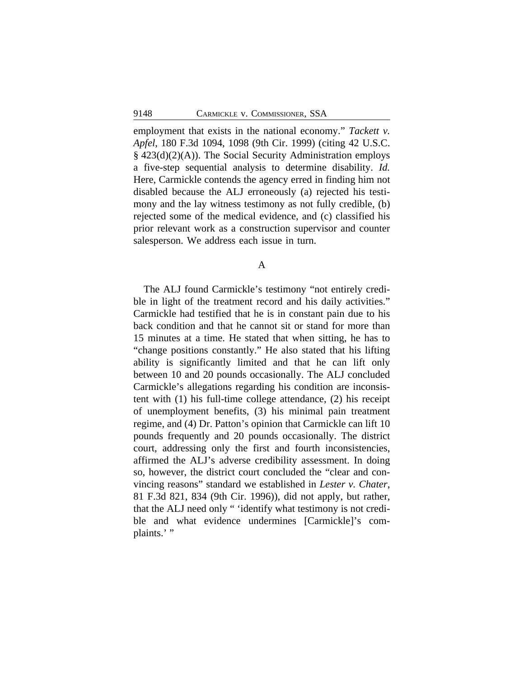employment that exists in the national economy." *Tackett v. Apfel*, 180 F.3d 1094, 1098 (9th Cir. 1999) (citing 42 U.S.C. § 423(d)(2)(A)). The Social Security Administration employs a five-step sequential analysis to determine disability. *Id.* Here, Carmickle contends the agency erred in finding him not disabled because the ALJ erroneously (a) rejected his testimony and the lay witness testimony as not fully credible, (b) rejected some of the medical evidence, and (c) classified his prior relevant work as a construction supervisor and counter salesperson. We address each issue in turn.

A

The ALJ found Carmickle's testimony "not entirely credible in light of the treatment record and his daily activities." Carmickle had testified that he is in constant pain due to his back condition and that he cannot sit or stand for more than 15 minutes at a time. He stated that when sitting, he has to "change positions constantly." He also stated that his lifting ability is significantly limited and that he can lift only between 10 and 20 pounds occasionally. The ALJ concluded Carmickle's allegations regarding his condition are inconsistent with (1) his full-time college attendance, (2) his receipt of unemployment benefits, (3) his minimal pain treatment regime, and (4) Dr. Patton's opinion that Carmickle can lift 10 pounds frequently and 20 pounds occasionally. The district court, addressing only the first and fourth inconsistencies, affirmed the ALJ's adverse credibility assessment. In doing so, however, the district court concluded the "clear and convincing reasons" standard we established in *Lester v. Chater*, 81 F.3d 821, 834 (9th Cir. 1996)), did not apply, but rather, that the ALJ need only " 'identify what testimony is not credible and what evidence undermines [Carmickle]'s complaints.'"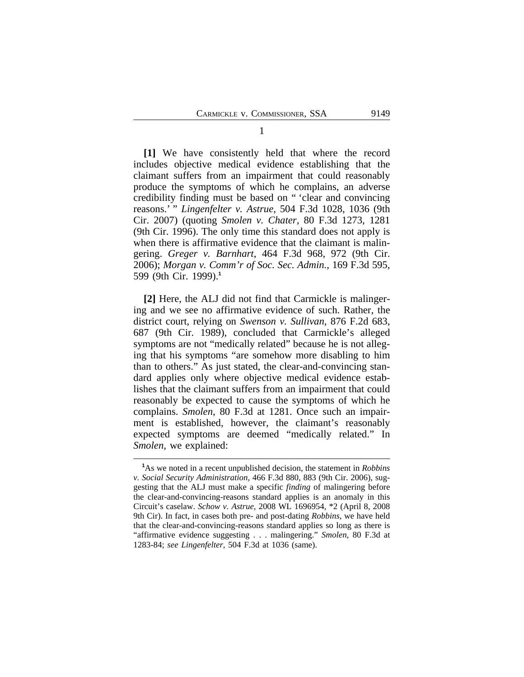**[1]** We have consistently held that where the record includes objective medical evidence establishing that the claimant suffers from an impairment that could reasonably produce the symptoms of which he complains, an adverse credibility finding must be based on " 'clear and convincing reasons.' " *Lingenfelter v. Astrue*, 504 F.3d 1028, 1036 (9th Cir. 2007) (quoting *Smolen v. Chater*, 80 F.3d 1273, 1281 (9th Cir. 1996). The only time this standard does not apply is when there is affirmative evidence that the claimant is malingering. *Greger v. Barnhart*, 464 F.3d 968, 972 (9th Cir. 2006); *Morgan v. Comm'r of Soc. Sec. Admin.*, 169 F.3d 595, 599 (9th Cir. 1999).**<sup>1</sup>**

**[2]** Here, the ALJ did not find that Carmickle is malingering and we see no affirmative evidence of such. Rather, the district court, relying on *Swenson v. Sullivan*, 876 F.2d 683, 687 (9th Cir. 1989), concluded that Carmickle's alleged symptoms are not "medically related" because he is not alleging that his symptoms "are somehow more disabling to him than to others." As just stated, the clear-and-convincing standard applies only where objective medical evidence establishes that the claimant suffers from an impairment that could reasonably be expected to cause the symptoms of which he complains. *Smolen*, 80 F.3d at 1281. Once such an impairment is established, however, the claimant's reasonably expected symptoms are deemed "medically related." In *Smolen,* we explained:

**<sup>1</sup>**As we noted in a recent unpublished decision, the statement in *Robbins v. Social Security Administration*, 466 F.3d 880, 883 (9th Cir. 2006), suggesting that the ALJ must make a specific *finding* of malingering before the clear-and-convincing-reasons standard applies is an anomaly in this Circuit's caselaw. *Schow v. Astrue*, 2008 WL 1696954, \*2 (April 8, 2008 9th Cir). In fact, in cases both pre- and post-dating *Robbins*, we have held that the clear-and-convincing-reasons standard applies so long as there is "affirmative evidence suggesting . . . malingering." *Smolen*, 80 F.3d at 1283-84; *see Lingenfelter*, 504 F.3d at 1036 (same).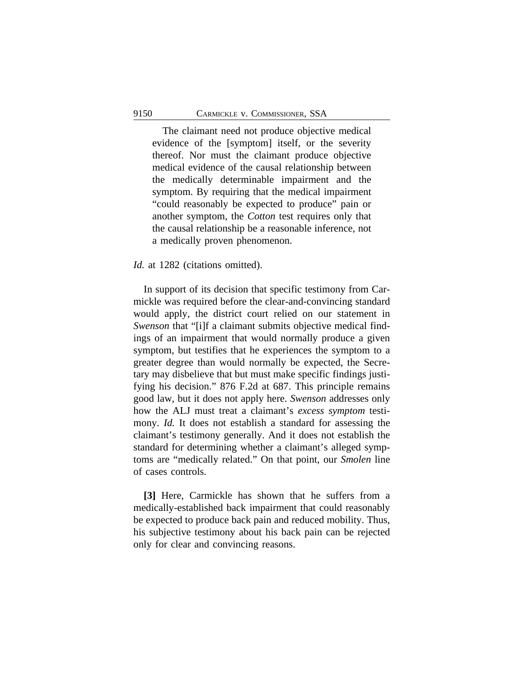The claimant need not produce objective medical evidence of the [symptom] itself, or the severity thereof. Nor must the claimant produce objective medical evidence of the causal relationship between the medically determinable impairment and the symptom. By requiring that the medical impairment "could reasonably be expected to produce" pain or another symptom, the *Cotton* test requires only that the causal relationship be a reasonable inference, not a medically proven phenomenon.

#### *Id.* at 1282 (citations omitted).

In support of its decision that specific testimony from Carmickle was required before the clear-and-convincing standard would apply, the district court relied on our statement in *Swenson* that "[i]f a claimant submits objective medical findings of an impairment that would normally produce a given symptom, but testifies that he experiences the symptom to a greater degree than would normally be expected, the Secretary may disbelieve that but must make specific findings justifying his decision." 876 F.2d at 687. This principle remains good law, but it does not apply here. *Swenson* addresses only how the ALJ must treat a claimant's *excess symptom* testimony. *Id.* It does not establish a standard for assessing the claimant's testimony generally. And it does not establish the standard for determining whether a claimant's alleged symptoms are "medically related." On that point, our *Smolen* line of cases controls.

**[3]** Here, Carmickle has shown that he suffers from a medically-established back impairment that could reasonably be expected to produce back pain and reduced mobility. Thus, his subjective testimony about his back pain can be rejected only for clear and convincing reasons.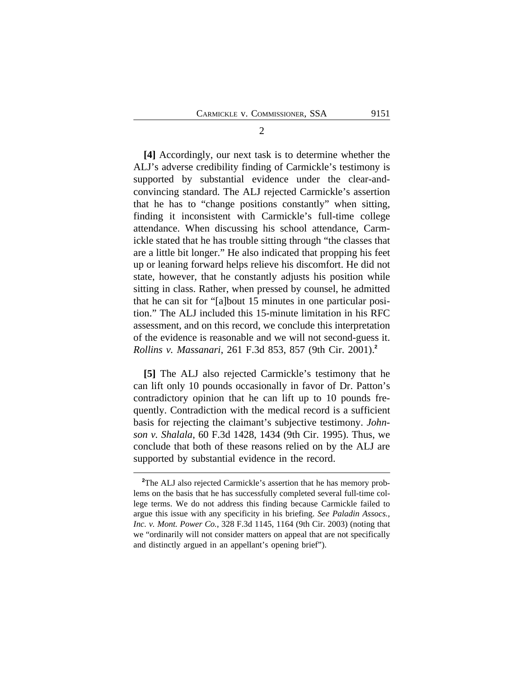**[4]** Accordingly, our next task is to determine whether the ALJ's adverse credibility finding of Carmickle's testimony is supported by substantial evidence under the clear-andconvincing standard. The ALJ rejected Carmickle's assertion that he has to "change positions constantly" when sitting, finding it inconsistent with Carmickle's full-time college attendance. When discussing his school attendance, Carmickle stated that he has trouble sitting through "the classes that are a little bit longer." He also indicated that propping his feet up or leaning forward helps relieve his discomfort. He did not state, however, that he constantly adjusts his position while sitting in class. Rather, when pressed by counsel, he admitted that he can sit for "[a]bout 15 minutes in one particular position." The ALJ included this 15-minute limitation in his RFC assessment, and on this record, we conclude this interpretation of the evidence is reasonable and we will not second-guess it. *Rollins v. Massanari*, 261 F.3d 853, 857 (9th Cir. 2001).**<sup>2</sup>**

**[5]** The ALJ also rejected Carmickle's testimony that he can lift only 10 pounds occasionally in favor of Dr. Patton's contradictory opinion that he can lift up to 10 pounds frequently. Contradiction with the medical record is a sufficient basis for rejecting the claimant's subjective testimony. *Johnson v. Shalala*, 60 F.3d 1428, 1434 (9th Cir. 1995). Thus, we conclude that both of these reasons relied on by the ALJ are supported by substantial evidence in the record.

2

**<sup>2</sup>**The ALJ also rejected Carmickle's assertion that he has memory problems on the basis that he has successfully completed several full-time college terms. We do not address this finding because Carmickle failed to argue this issue with any specificity in his briefing. *See Paladin Assocs., Inc. v. Mont. Power Co.*, 328 F.3d 1145, 1164 (9th Cir. 2003) (noting that we "ordinarily will not consider matters on appeal that are not specifically and distinctly argued in an appellant's opening brief").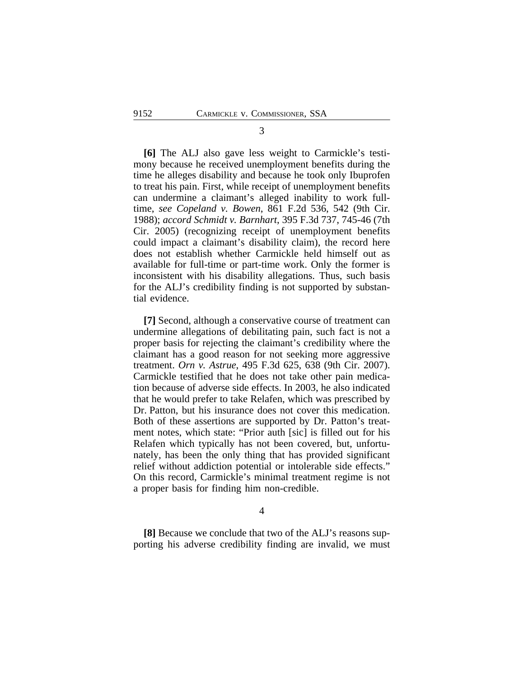**[6]** The ALJ also gave less weight to Carmickle's testimony because he received unemployment benefits during the time he alleges disability and because he took only Ibuprofen to treat his pain. First, while receipt of unemployment benefits can undermine a claimant's alleged inability to work fulltime, *see Copeland v. Bowen*, 861 F.2d 536, 542 (9th Cir. 1988); *accord Schmidt v. Barnhart*, 395 F.3d 737, 745-46 (7th Cir. 2005) (recognizing receipt of unemployment benefits could impact a claimant's disability claim), the record here does not establish whether Carmickle held himself out as available for full-time or part-time work. Only the former is inconsistent with his disability allegations. Thus, such basis for the ALJ's credibility finding is not supported by substantial evidence.

**[7]** Second, although a conservative course of treatment can undermine allegations of debilitating pain, such fact is not a proper basis for rejecting the claimant's credibility where the claimant has a good reason for not seeking more aggressive treatment. *Orn v. Astrue*, 495 F.3d 625, 638 (9th Cir. 2007). Carmickle testified that he does not take other pain medication because of adverse side effects. In 2003, he also indicated that he would prefer to take Relafen, which was prescribed by Dr. Patton, but his insurance does not cover this medication. Both of these assertions are supported by Dr. Patton's treatment notes, which state: "Prior auth [sic] is filled out for his Relafen which typically has not been covered, but, unfortunately, has been the only thing that has provided significant relief without addiction potential or intolerable side effects." On this record, Carmickle's minimal treatment regime is not a proper basis for finding him non-credible.

4

**[8]** Because we conclude that two of the ALJ's reasons supporting his adverse credibility finding are invalid, we must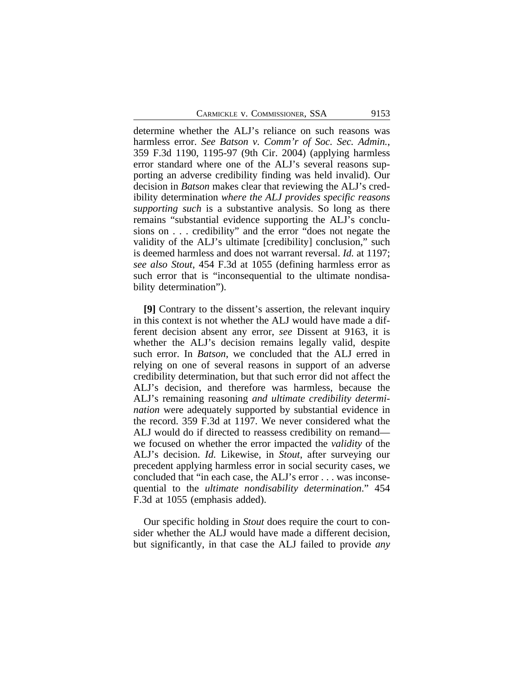determine whether the ALJ's reliance on such reasons was harmless error. *See Batson v. Comm'r of Soc. Sec. Admin.*, 359 F.3d 1190, 1195-97 (9th Cir. 2004) (applying harmless error standard where one of the ALJ's several reasons supporting an adverse credibility finding was held invalid). Our decision in *Batson* makes clear that reviewing the ALJ's credibility determination *where the ALJ provides specific reasons supporting such* is a substantive analysis. So long as there remains "substantial evidence supporting the ALJ's conclusions on . . . credibility" and the error "does not negate the validity of the ALJ's ultimate [credibility] conclusion," such is deemed harmless and does not warrant reversal. *Id.* at 1197; *see also Stout*, 454 F.3d at 1055 (defining harmless error as such error that is "inconsequential to the ultimate nondisability determination").

**[9]** Contrary to the dissent's assertion, the relevant inquiry in this context is not whether the ALJ would have made a different decision absent any error, *see* Dissent at 9163, it is whether the ALJ's decision remains legally valid, despite such error. In *Batson*, we concluded that the ALJ erred in relying on one of several reasons in support of an adverse credibility determination, but that such error did not affect the ALJ's decision, and therefore was harmless, because the ALJ's remaining reasoning *and ultimate credibility determination* were adequately supported by substantial evidence in the record. 359 F.3d at 1197. We never considered what the ALJ would do if directed to reassess credibility on remand we focused on whether the error impacted the *validity* of the ALJ's decision. *Id.* Likewise, in *Stout*, after surveying our precedent applying harmless error in social security cases, we concluded that "in each case, the ALJ's error . . . was inconsequential to the *ultimate nondisability determination*." 454 F.3d at 1055 (emphasis added).

Our specific holding in *Stout* does require the court to consider whether the ALJ would have made a different decision, but significantly, in that case the ALJ failed to provide *any*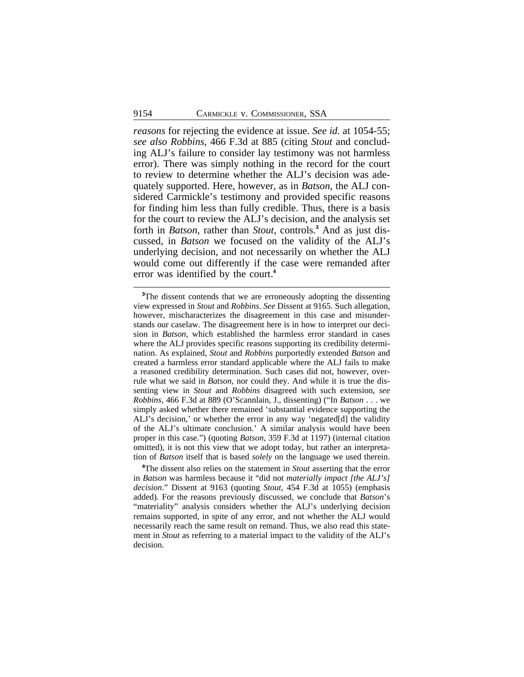*reasons* for rejecting the evidence at issue. *See id.* at 1054-55; *see also Robbins*, 466 F.3d at 885 (citing *Stout* and concluding ALJ's failure to consider lay testimony was not harmless error). There was simply nothing in the record for the court to review to determine whether the ALJ's decision was adequately supported. Here, however, as in *Batson*, the ALJ considered Carmickle's testimony and provided specific reasons for finding him less than fully credible. Thus, there is a basis for the court to review the ALJ's decision, and the analysis set forth in *Batson*, rather than *Stout*, controls.**<sup>3</sup>** And as just discussed, in *Batson* we focused on the validity of the ALJ's underlying decision, and not necessarily on whether the ALJ would come out differently if the case were remanded after error was identified by the court.**<sup>4</sup>**

**<sup>4</sup>**The dissent also relies on the statement in *Stout* asserting that the error in *Batson* was harmless because it "did not *materially impact [the ALJ's] decision*." Dissent at 9163 (quoting *Stout*, 454 F.3d at 1055) (emphasis added). For the reasons previously discussed, we conclude that *Batson*'s "materiality" analysis considers whether the ALJ's underlying decision remains supported, in spite of any error, and not whether the ALJ would necessarily reach the same result on remand. Thus, we also read this statement in *Stout* as referring to a material impact to the validity of the ALJ's decision.

<sup>&</sup>lt;sup>3</sup>The dissent contends that we are erroneously adopting the dissenting view expressed in *Stout* and *Robbins*. *See* Dissent at 9165. Such allegation, however, mischaracterizes the disagreement in this case and misunderstands our caselaw. The disagreement here is in how to interpret our decision in *Batson*, which established the harmless error standard in cases where the ALJ provides specific reasons supporting its credibility determination. As explained, *Stout* and *Robbins* purportedly extended *Batson* and created a harmless error standard applicable where the ALJ fails to make a reasoned credibility determination. Such cases did not, however, overrule what we said in *Batson*, nor could they. And while it is true the dissenting view in *Stout* and *Robbins* disagreed with such extension, *see Robbins*, 466 F.3d at 889 (O'Scannlain, J., dissenting) ("In *Batson* . . . we simply asked whether there remained 'substantial evidence supporting the ALJ's decision,' or whether the error in any way 'negated[d] the validity of the ALJ's ultimate conclusion.' A similar analysis would have been proper in this case.") (quoting *Batson*, 359 F.3d at 1197) (internal citation omitted), it is not this view that we adopt today, but rather an interpretation of *Batson* itself that is based *solely* on the language we used therein.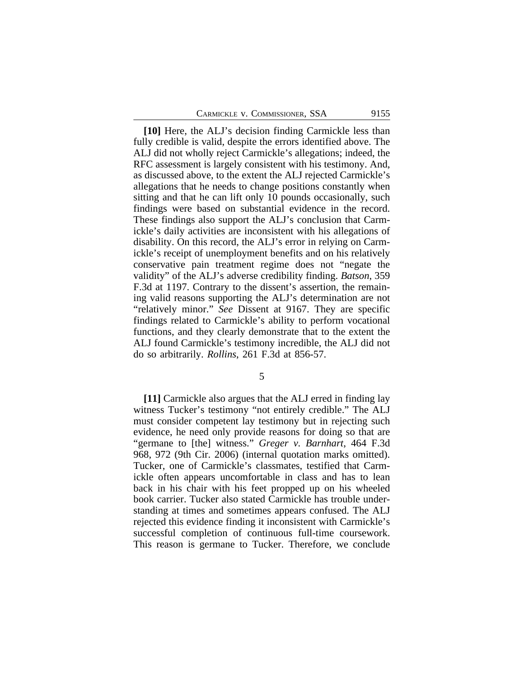**[10]** Here, the ALJ's decision finding Carmickle less than fully credible is valid, despite the errors identified above. The ALJ did not wholly reject Carmickle's allegations; indeed, the RFC assessment is largely consistent with his testimony. And, as discussed above, to the extent the ALJ rejected Carmickle's allegations that he needs to change positions constantly when sitting and that he can lift only 10 pounds occasionally, such findings were based on substantial evidence in the record. These findings also support the ALJ's conclusion that Carmickle's daily activities are inconsistent with his allegations of disability. On this record, the ALJ's error in relying on Carmickle's receipt of unemployment benefits and on his relatively conservative pain treatment regime does not "negate the validity" of the ALJ's adverse credibility finding. *Batson*, 359 F.3d at 1197. Contrary to the dissent's assertion, the remaining valid reasons supporting the ALJ's determination are not "relatively minor." *See* Dissent at 9167. They are specific findings related to Carmickle's ability to perform vocational functions, and they clearly demonstrate that to the extent the ALJ found Carmickle's testimony incredible, the ALJ did not do so arbitrarily. *Rollins*, 261 F.3d at 856-57.

5

**[11]** Carmickle also argues that the ALJ erred in finding lay witness Tucker's testimony "not entirely credible." The ALJ must consider competent lay testimony but in rejecting such evidence, he need only provide reasons for doing so that are "germane to [the] witness." *Greger v. Barnhart*, 464 F.3d 968, 972 (9th Cir. 2006) (internal quotation marks omitted). Tucker, one of Carmickle's classmates, testified that Carmickle often appears uncomfortable in class and has to lean back in his chair with his feet propped up on his wheeled book carrier. Tucker also stated Carmickle has trouble understanding at times and sometimes appears confused. The ALJ rejected this evidence finding it inconsistent with Carmickle's successful completion of continuous full-time coursework. This reason is germane to Tucker. Therefore, we conclude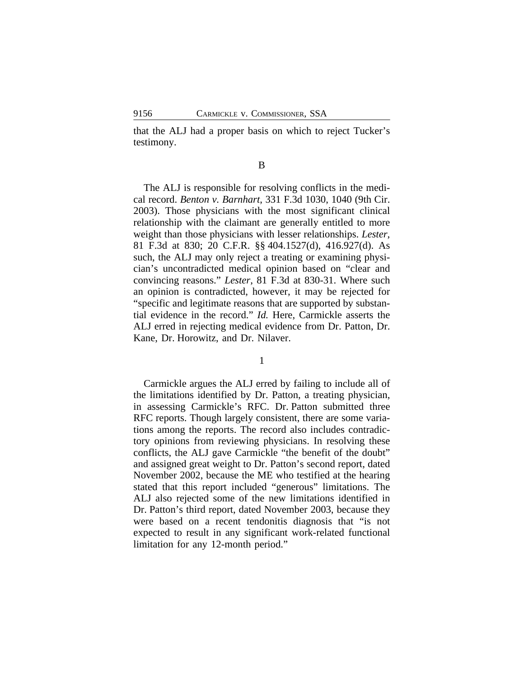that the ALJ had a proper basis on which to reject Tucker's testimony.

#### B

The ALJ is responsible for resolving conflicts in the medical record. *Benton v. Barnhart*, 331 F.3d 1030, 1040 (9th Cir. 2003). Those physicians with the most significant clinical relationship with the claimant are generally entitled to more weight than those physicians with lesser relationships. *Lester*, 81 F.3d at 830; 20 C.F.R. §§ 404.1527(d), 416.927(d). As such, the ALJ may only reject a treating or examining physician's uncontradicted medical opinion based on "clear and convincing reasons." *Lester*, 81 F.3d at 830-31. Where such an opinion is contradicted, however, it may be rejected for "specific and legitimate reasons that are supported by substantial evidence in the record." *Id.* Here, Carmickle asserts the ALJ erred in rejecting medical evidence from Dr. Patton, Dr. Kane, Dr. Horowitz, and Dr. Nilaver.

1

Carmickle argues the ALJ erred by failing to include all of the limitations identified by Dr. Patton, a treating physician, in assessing Carmickle's RFC. Dr. Patton submitted three RFC reports. Though largely consistent, there are some variations among the reports. The record also includes contradictory opinions from reviewing physicians. In resolving these conflicts, the ALJ gave Carmickle "the benefit of the doubt" and assigned great weight to Dr. Patton's second report, dated November 2002, because the ME who testified at the hearing stated that this report included "generous" limitations. The ALJ also rejected some of the new limitations identified in Dr. Patton's third report, dated November 2003, because they were based on a recent tendonitis diagnosis that "is not expected to result in any significant work-related functional limitation for any 12-month period."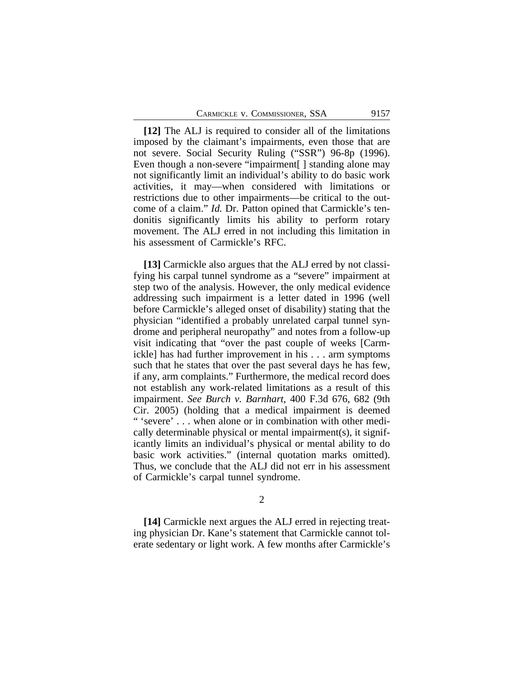**[12]** The ALJ is required to consider all of the limitations imposed by the claimant's impairments, even those that are not severe. Social Security Ruling ("SSR") 96-8p (1996). Even though a non-severe "impairment [] standing alone may not significantly limit an individual's ability to do basic work activities, it may—when considered with limitations or restrictions due to other impairments—be critical to the outcome of a claim." *Id.* Dr. Patton opined that Carmickle's tendonitis significantly limits his ability to perform rotary movement. The ALJ erred in not including this limitation in his assessment of Carmickle's RFC.

**[13]** Carmickle also argues that the ALJ erred by not classifying his carpal tunnel syndrome as a "severe" impairment at step two of the analysis. However, the only medical evidence addressing such impairment is a letter dated in 1996 (well before Carmickle's alleged onset of disability) stating that the physician "identified a probably unrelated carpal tunnel syndrome and peripheral neuropathy" and notes from a follow-up visit indicating that "over the past couple of weeks [Carmickle] has had further improvement in his . . . arm symptoms such that he states that over the past several days he has few, if any, arm complaints." Furthermore, the medical record does not establish any work-related limitations as a result of this impairment. *See Burch v. Barnhart*, 400 F.3d 676, 682 (9th Cir. 2005) (holding that a medical impairment is deemed " 'severe' . . . when alone or in combination with other medically determinable physical or mental impairment(s), it significantly limits an individual's physical or mental ability to do basic work activities." (internal quotation marks omitted). Thus, we conclude that the ALJ did not err in his assessment of Carmickle's carpal tunnel syndrome.

#### $\mathcal{L}$

**[14]** Carmickle next argues the ALJ erred in rejecting treating physician Dr. Kane's statement that Carmickle cannot tolerate sedentary or light work. A few months after Carmickle's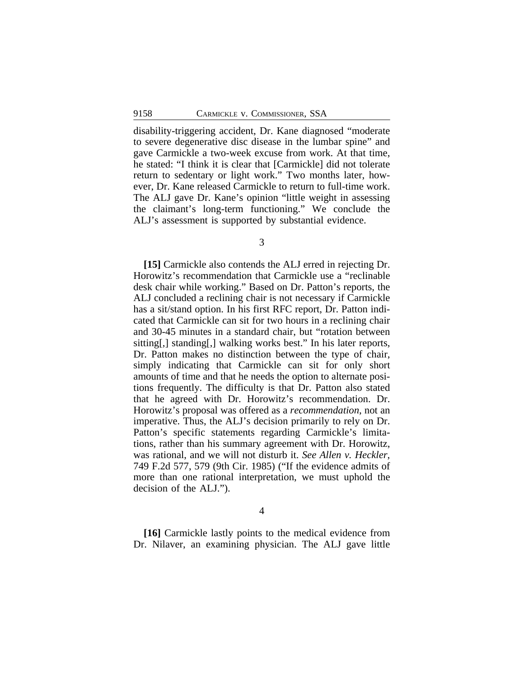disability-triggering accident, Dr. Kane diagnosed "moderate to severe degenerative disc disease in the lumbar spine" and gave Carmickle a two-week excuse from work. At that time, he stated: "I think it is clear that [Carmickle] did not tolerate return to sedentary or light work." Two months later, however, Dr. Kane released Carmickle to return to full-time work. The ALJ gave Dr. Kane's opinion "little weight in assessing the claimant's long-term functioning." We conclude the ALJ's assessment is supported by substantial evidence.

3

**[15]** Carmickle also contends the ALJ erred in rejecting Dr. Horowitz's recommendation that Carmickle use a "reclinable desk chair while working." Based on Dr. Patton's reports, the ALJ concluded a reclining chair is not necessary if Carmickle has a sit/stand option. In his first RFC report, Dr. Patton indicated that Carmickle can sit for two hours in a reclining chair and 30-45 minutes in a standard chair, but "rotation between sitting[,] standing[,] walking works best." In his later reports, Dr. Patton makes no distinction between the type of chair, simply indicating that Carmickle can sit for only short amounts of time and that he needs the option to alternate positions frequently. The difficulty is that Dr. Patton also stated that he agreed with Dr. Horowitz's recommendation. Dr. Horowitz's proposal was offered as a *recommendation*, not an imperative. Thus, the ALJ's decision primarily to rely on Dr. Patton's specific statements regarding Carmickle's limitations, rather than his summary agreement with Dr. Horowitz, was rational, and we will not disturb it. *See Allen v. Heckler*, 749 F.2d 577, 579 (9th Cir. 1985) ("If the evidence admits of more than one rational interpretation, we must uphold the decision of the ALJ.").

4

**[16]** Carmickle lastly points to the medical evidence from Dr. Nilaver, an examining physician. The ALJ gave little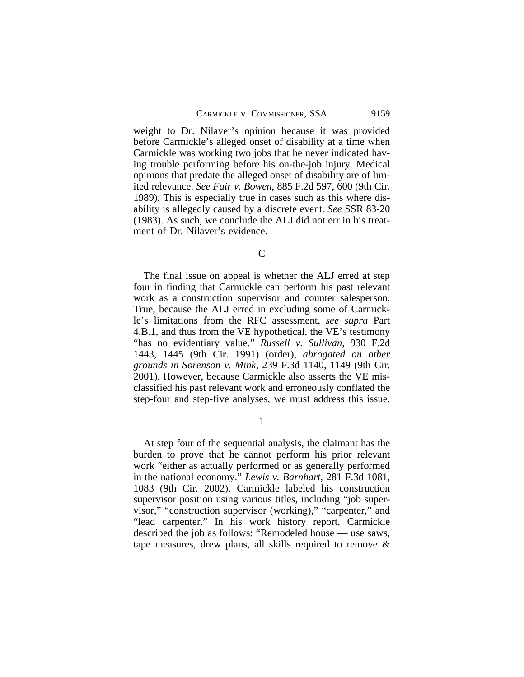weight to Dr. Nilaver's opinion because it was provided before Carmickle's alleged onset of disability at a time when Carmickle was working two jobs that he never indicated having trouble performing before his on-the-job injury. Medical opinions that predate the alleged onset of disability are of limited relevance. *See Fair v. Bowen*, 885 F.2d 597, 600 (9th Cir. 1989). This is especially true in cases such as this where disability is allegedly caused by a discrete event. *See* SSR 83-20 (1983). As such, we conclude the ALJ did not err in his treatment of Dr. Nilaver's evidence.

C

The final issue on appeal is whether the ALJ erred at step four in finding that Carmickle can perform his past relevant work as a construction supervisor and counter salesperson. True, because the ALJ erred in excluding some of Carmickle's limitations from the RFC assessment, *see supra* Part 4.B.1, and thus from the VE hypothetical, the VE's testimony "has no evidentiary value." *Russell v. Sullivan*, 930 F.2d 1443, 1445 (9th Cir. 1991) (order), *abrogated on other grounds in Sorenson v. Mink*, 239 F.3d 1140, 1149 (9th Cir. 2001). However, because Carmickle also asserts the VE misclassified his past relevant work and erroneously conflated the step-four and step-five analyses, we must address this issue.

1

At step four of the sequential analysis, the claimant has the burden to prove that he cannot perform his prior relevant work "either as actually performed or as generally performed in the national economy." *Lewis v. Barnhart*, 281 F.3d 1081, 1083 (9th Cir. 2002). Carmickle labeled his construction supervisor position using various titles, including "job supervisor," "construction supervisor (working)," "carpenter," and "lead carpenter." In his work history report, Carmickle described the job as follows: "Remodeled house — use saws, tape measures, drew plans, all skills required to remove &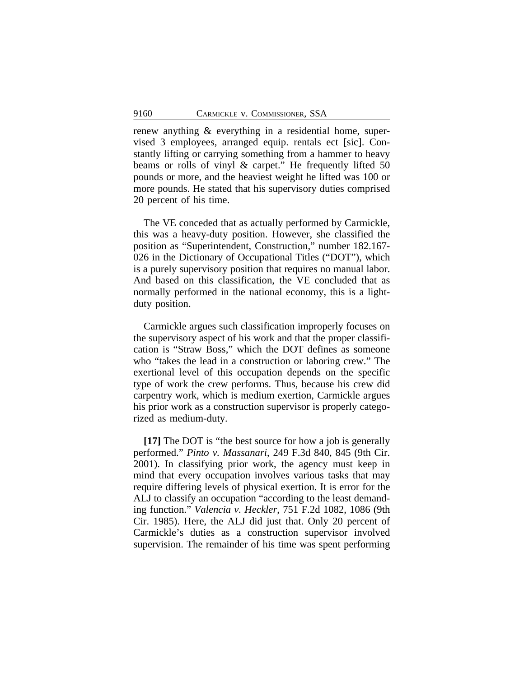renew anything & everything in a residential home, supervised 3 employees, arranged equip. rentals ect [sic]. Constantly lifting or carrying something from a hammer to heavy beams or rolls of vinyl & carpet." He frequently lifted 50 pounds or more, and the heaviest weight he lifted was 100 or more pounds. He stated that his supervisory duties comprised 20 percent of his time.

The VE conceded that as actually performed by Carmickle, this was a heavy-duty position. However, she classified the position as "Superintendent, Construction," number 182.167- 026 in the Dictionary of Occupational Titles ("DOT"), which is a purely supervisory position that requires no manual labor. And based on this classification, the VE concluded that as normally performed in the national economy, this is a lightduty position.

Carmickle argues such classification improperly focuses on the supervisory aspect of his work and that the proper classification is "Straw Boss," which the DOT defines as someone who "takes the lead in a construction or laboring crew." The exertional level of this occupation depends on the specific type of work the crew performs. Thus, because his crew did carpentry work, which is medium exertion, Carmickle argues his prior work as a construction supervisor is properly categorized as medium-duty.

**[17]** The DOT is "the best source for how a job is generally performed." *Pinto v. Massanari*, 249 F.3d 840, 845 (9th Cir. 2001). In classifying prior work, the agency must keep in mind that every occupation involves various tasks that may require differing levels of physical exertion. It is error for the ALJ to classify an occupation "according to the least demanding function." *Valencia v. Heckler*, 751 F.2d 1082, 1086 (9th Cir. 1985). Here, the ALJ did just that. Only 20 percent of Carmickle's duties as a construction supervisor involved supervision. The remainder of his time was spent performing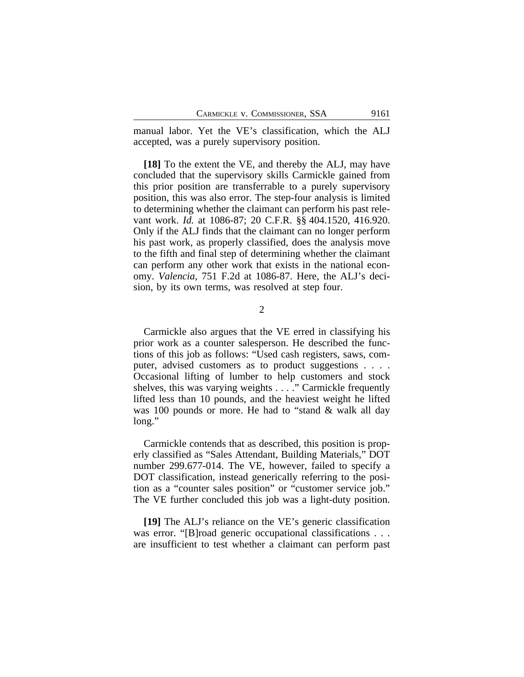manual labor. Yet the VE's classification, which the ALJ accepted, was a purely supervisory position.

**[18]** To the extent the VE, and thereby the ALJ, may have concluded that the supervisory skills Carmickle gained from this prior position are transferrable to a purely supervisory position, this was also error. The step-four analysis is limited to determining whether the claimant can perform his past relevant work. *Id.* at 1086-87; 20 C.F.R. §§ 404.1520, 416.920. Only if the ALJ finds that the claimant can no longer perform his past work, as properly classified, does the analysis move to the fifth and final step of determining whether the claimant can perform any other work that exists in the national economy. *Valencia*, 751 F.2d at 1086-87. Here, the ALJ's decision, by its own terms, was resolved at step four.

2

Carmickle also argues that the VE erred in classifying his prior work as a counter salesperson. He described the functions of this job as follows: "Used cash registers, saws, computer, advised customers as to product suggestions . . . . Occasional lifting of lumber to help customers and stock shelves, this was varying weights . . . ." Carmickle frequently lifted less than 10 pounds, and the heaviest weight he lifted was 100 pounds or more. He had to "stand & walk all day long."

Carmickle contends that as described, this position is properly classified as "Sales Attendant, Building Materials," DOT number 299.677-014. The VE, however, failed to specify a DOT classification, instead generically referring to the position as a "counter sales position" or "customer service job." The VE further concluded this job was a light-duty position.

**[19]** The ALJ's reliance on the VE's generic classification was error. "[B]road generic occupational classifications . . . are insufficient to test whether a claimant can perform past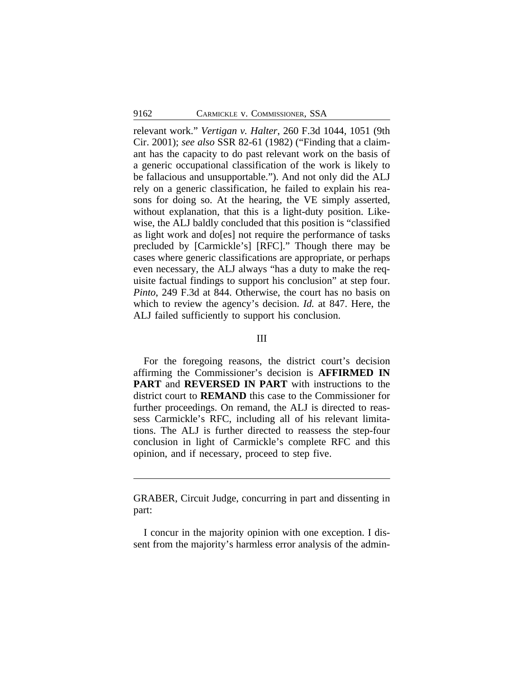relevant work." *Vertigan v. Halter*, 260 F.3d 1044, 1051 (9th Cir. 2001); *see also* SSR 82-61 (1982) ("Finding that a claimant has the capacity to do past relevant work on the basis of a generic occupational classification of the work is likely to be fallacious and unsupportable."). And not only did the ALJ rely on a generic classification, he failed to explain his reasons for doing so. At the hearing, the VE simply asserted, without explanation, that this is a light-duty position. Likewise, the ALJ baldly concluded that this position is "classified as light work and do[es] not require the performance of tasks precluded by [Carmickle's] [RFC]." Though there may be cases where generic classifications are appropriate, or perhaps even necessary, the ALJ always "has a duty to make the requisite factual findings to support his conclusion" at step four. *Pinto*, 249 F.3d at 844. Otherwise, the court has no basis on which to review the agency's decision. *Id.* at 847. Here, the ALJ failed sufficiently to support his conclusion.

#### III

For the foregoing reasons, the district court's decision affirming the Commissioner's decision is **AFFIRMED IN PART** and **REVERSED IN PART** with instructions to the district court to **REMAND** this case to the Commissioner for further proceedings. On remand, the ALJ is directed to reassess Carmickle's RFC, including all of his relevant limitations. The ALJ is further directed to reassess the step-four conclusion in light of Carmickle's complete RFC and this opinion, and if necessary, proceed to step five.

GRABER, Circuit Judge, concurring in part and dissenting in part:

I concur in the majority opinion with one exception. I dissent from the majority's harmless error analysis of the admin-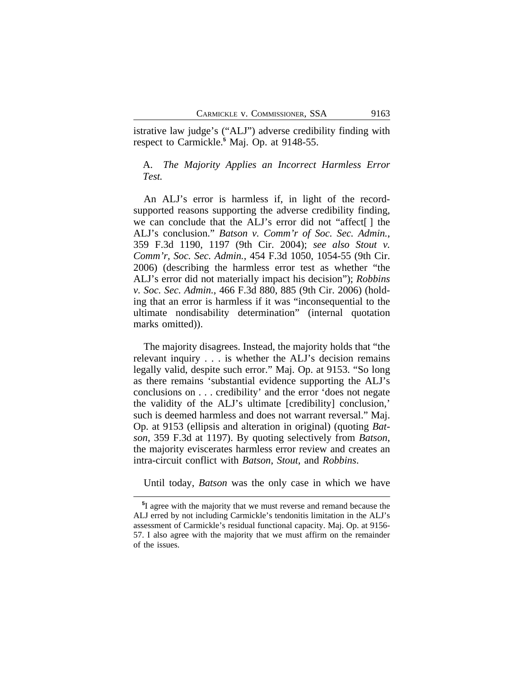istrative law judge's ("ALJ") adverse credibility finding with respect to Carmickle.**<sup>5</sup>** Maj. Op. at 9148-55.

## A. *The Majority Applies an Incorrect Harmless Error Test.*

An ALJ's error is harmless if, in light of the recordsupported reasons supporting the adverse credibility finding, we can conclude that the ALJ's error did not "affect[ ] the ALJ's conclusion." *Batson v. Comm'r of Soc. Sec. Admin.*, 359 F.3d 1190, 1197 (9th Cir. 2004); *see also Stout v. Comm'r, Soc. Sec. Admin.*, 454 F.3d 1050, 1054-55 (9th Cir. 2006) (describing the harmless error test as whether "the ALJ's error did not materially impact his decision"); *Robbins v. Soc. Sec. Admin.*, 466 F.3d 880, 885 (9th Cir. 2006) (holding that an error is harmless if it was "inconsequential to the ultimate nondisability determination" (internal quotation marks omitted)).

The majority disagrees. Instead, the majority holds that "the relevant inquiry . . . is whether the ALJ's decision remains legally valid, despite such error." Maj. Op. at 9153. "So long as there remains 'substantial evidence supporting the ALJ's conclusions on . . . credibility' and the error 'does not negate the validity of the ALJ's ultimate [credibility] conclusion,' such is deemed harmless and does not warrant reversal." Maj. Op. at 9153 (ellipsis and alteration in original) (quoting *Batson*, 359 F.3d at 1197). By quoting selectively from *Batson*, the majority eviscerates harmless error review and creates an intra-circuit conflict with *Batson*, *Stout*, and *Robbins*.

Until today, *Batson* was the only case in which we have

**<sup>5</sup>** I agree with the majority that we must reverse and remand because the ALJ erred by not including Carmickle's tendonitis limitation in the ALJ's assessment of Carmickle's residual functional capacity. Maj. Op. at 9156- 57. I also agree with the majority that we must affirm on the remainder of the issues.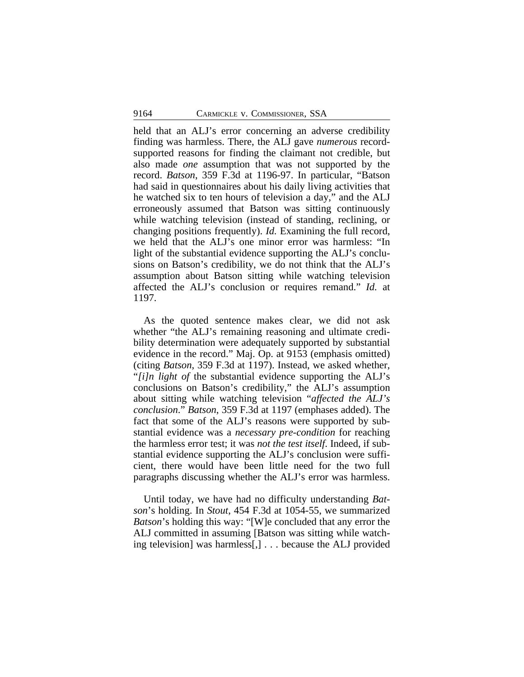held that an ALJ's error concerning an adverse credibility finding was harmless. There, the ALJ gave *numerous* recordsupported reasons for finding the claimant not credible, but also made *one* assumption that was not supported by the record. *Batson*, 359 F.3d at 1196-97. In particular, "Batson had said in questionnaires about his daily living activities that he watched six to ten hours of television a day," and the ALJ erroneously assumed that Batson was sitting continuously while watching television (instead of standing, reclining, or changing positions frequently). *Id.* Examining the full record, we held that the ALJ's one minor error was harmless: "In light of the substantial evidence supporting the ALJ's conclusions on Batson's credibility, we do not think that the ALJ's assumption about Batson sitting while watching television affected the ALJ's conclusion or requires remand." *Id.* at 1197.

As the quoted sentence makes clear, we did not ask whether "the ALJ's remaining reasoning and ultimate credibility determination were adequately supported by substantial evidence in the record." Maj. Op. at 9153 (emphasis omitted) (citing *Batson*, 359 F.3d at 1197). Instead, we asked whether, "*[i]n light of* the substantial evidence supporting the ALJ's conclusions on Batson's credibility," the ALJ's assumption about sitting while watching television "*affected the ALJ's conclusion*." *Batson*, 359 F.3d at 1197 (emphases added). The fact that some of the ALJ's reasons were supported by substantial evidence was a *necessary pre-condition* for reaching the harmless error test; it was *not the test itself*. Indeed, if substantial evidence supporting the ALJ's conclusion were sufficient, there would have been little need for the two full paragraphs discussing whether the ALJ's error was harmless.

Until today, we have had no difficulty understanding *Batson*'s holding. In *Stout*, 454 F.3d at 1054-55, we summarized *Batson*'s holding this way: "[W]e concluded that any error the ALJ committed in assuming [Batson was sitting while watching television] was harmless[,] . . . because the ALJ provided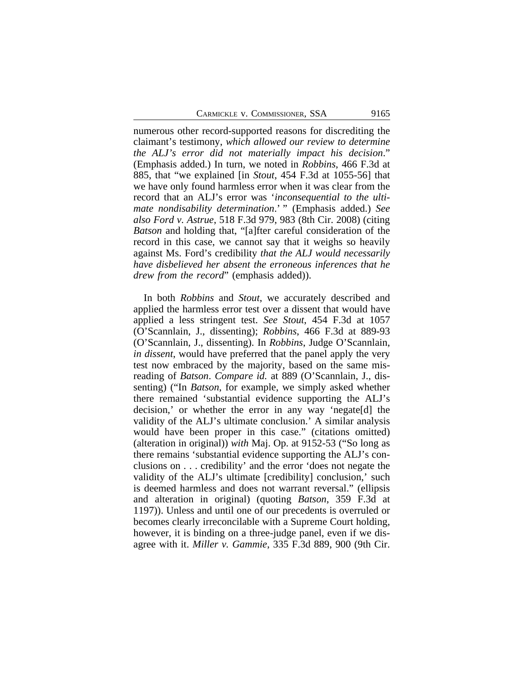numerous other record-supported reasons for discrediting the claimant's testimony, *which allowed our review to determine the ALJ's error did not materially impact his decision*." (Emphasis added.) In turn, we noted in *Robbins*, 466 F.3d at 885, that "we explained [in *Stout*, 454 F.3d at 1055-56] that we have only found harmless error when it was clear from the record that an ALJ's error was '*inconsequential to the ultimate nondisability determination*.' " (Emphasis added.) *See also Ford v. Astrue*, 518 F.3d 979, 983 (8th Cir. 2008) (citing *Batson* and holding that, "[a]fter careful consideration of the record in this case, we cannot say that it weighs so heavily against Ms. Ford's credibility *that the ALJ would necessarily have disbelieved her absent the erroneous inferences that he drew from the record*" (emphasis added)).

In both *Robbins* and *Stout*, we accurately described and applied the harmless error test over a dissent that would have applied a less stringent test. *See Stout*, 454 F.3d at 1057 (O'Scannlain, J., dissenting); *Robbins*, 466 F.3d at 889-93 (O'Scannlain, J., dissenting). In *Robbins*, Judge O'Scannlain, *in dissent*, would have preferred that the panel apply the very test now embraced by the majority, based on the same misreading of *Batson*. *Compare id.* at 889 (O'Scannlain, J., dissenting) ("In *Batson*, for example, we simply asked whether there remained 'substantial evidence supporting the ALJ's decision,' or whether the error in any way 'negate[d] the validity of the ALJ's ultimate conclusion.' A similar analysis would have been proper in this case." (citations omitted) (alteration in original)) *with* Maj. Op. at 9152-53 ("So long as there remains 'substantial evidence supporting the ALJ's conclusions on . . . credibility' and the error 'does not negate the validity of the ALJ's ultimate [credibility] conclusion,' such is deemed harmless and does not warrant reversal." (ellipsis and alteration in original) (quoting *Batson*, 359 F.3d at 1197)). Unless and until one of our precedents is overruled or becomes clearly irreconcilable with a Supreme Court holding, however, it is binding on a three-judge panel, even if we disagree with it. *Miller v. Gammie*, 335 F.3d 889, 900 (9th Cir.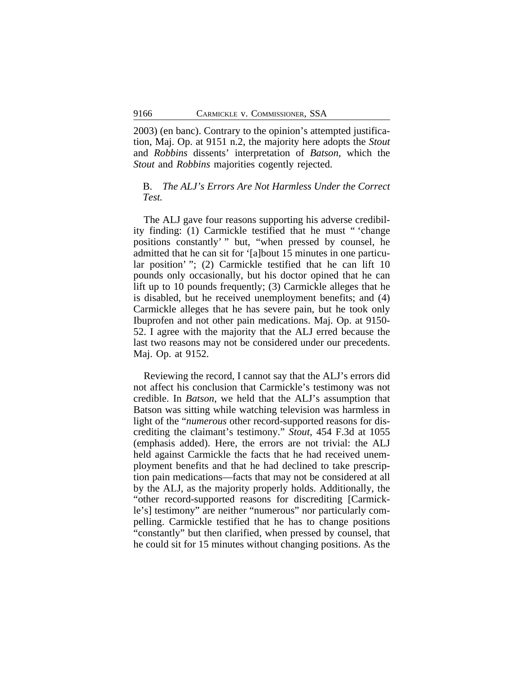2003) (en banc). Contrary to the opinion's attempted justification, Maj. Op. at 9151 n.2, the majority here adopts the *Stout* and *Robbins* dissents' interpretation of *Batson*, which the *Stout* and *Robbins* majorities cogently rejected.

## B. *The ALJ's Errors Are Not Harmless Under the Correct Test.*

The ALJ gave four reasons supporting his adverse credibility finding: (1) Carmickle testified that he must " 'change positions constantly' " but, "when pressed by counsel, he admitted that he can sit for '[a]bout 15 minutes in one particular position' "; (2) Carmickle testified that he can lift 10 pounds only occasionally, but his doctor opined that he can lift up to 10 pounds frequently; (3) Carmickle alleges that he is disabled, but he received unemployment benefits; and (4) Carmickle alleges that he has severe pain, but he took only Ibuprofen and not other pain medications. Maj. Op. at 9150- 52. I agree with the majority that the ALJ erred because the last two reasons may not be considered under our precedents. Maj. Op. at 9152.

Reviewing the record, I cannot say that the ALJ's errors did not affect his conclusion that Carmickle's testimony was not credible. In *Batson*, we held that the ALJ's assumption that Batson was sitting while watching television was harmless in light of the "*numerous* other record-supported reasons for discrediting the claimant's testimony." *Stout*, 454 F.3d at 1055 (emphasis added). Here, the errors are not trivial: the ALJ held against Carmickle the facts that he had received unemployment benefits and that he had declined to take prescription pain medications—facts that may not be considered at all by the ALJ, as the majority properly holds. Additionally, the "other record-supported reasons for discrediting [Carmickle's] testimony" are neither "numerous" nor particularly compelling. Carmickle testified that he has to change positions "constantly" but then clarified, when pressed by counsel, that he could sit for 15 minutes without changing positions. As the